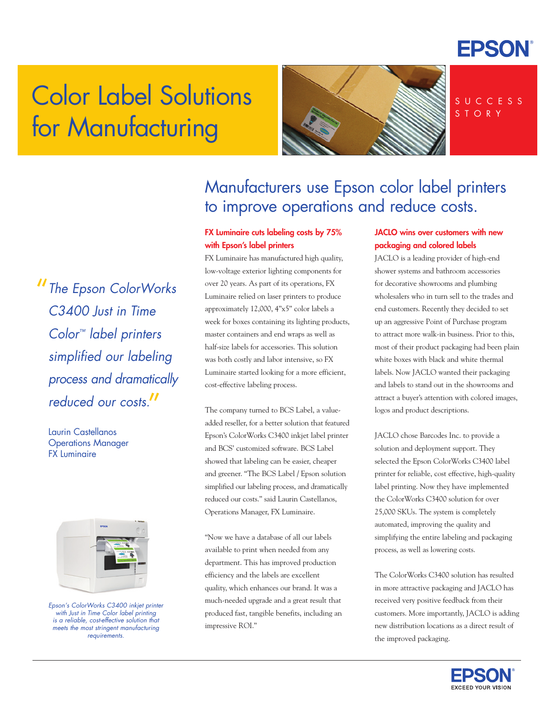

# Color Label Solutions for Manufacturing



S U C C E S S S T O R Y

"*The Epson ColorWorks C3400 Just in Time Color™ label printers simplified our labeling process and dramatically reduced our costs.* "

Laurin Castellanos Operations Manager FX Luminaire



*Epson's ColorWorks C3400 inkjet printer with Just in Time Color label printing is a reliable, cost-effective solution that meets the most stringent manufacturing requirements.*

## Manufacturers use Epson color label printers to improve operations and reduce costs.

### FX Luminaire cuts labeling costs by 75% with Epson's label printers

FX Luminaire has manufactured high quality, low-voltage exterior lighting components for over 20 years. As part of its operations, FX Luminaire relied on laser printers to produce approximately 12,000, 4"x5" color labels a week for boxes containing its lighting products, master containers and end wraps as well as half-size labels for accessories. This solution was both costly and labor intensive, so FX Luminaire started looking for a more efficient, cost-effective labeling process.

The company turned to BCS Label, a valueadded reseller, for a better solution that featured Epson's ColorWorks C3400 inkjet label printer and BCS' customized software. BCS Label showed that labeling can be easier, cheaper and greener. "The BCS Label / Epson solution simplified our labeling process, and dramatically reduced our costs." said Laurin Castellanos, Operations Manager, FX Luminaire.

"Now we have a database of all our labels available to print when needed from any department. This has improved production efficiency and the labels are excellent quality, which enhances our brand. It was a much-needed upgrade and a great result that produced fast, tangible benefits, including an impressive ROI."

### JACLO wins over customers with new packaging and colored labels

JACLO is a leading provider of high-end shower systems and bathroom accessories for decorative showrooms and plumbing wholesalers who in turn sell to the trades and end customers. Recently they decided to set up an aggressive Point of Purchase program to attract more walk-in business. Prior to this, most of their product packaging had been plain white boxes with black and white thermal labels. Now JACLO wanted their packaging and labels to stand out in the showrooms and attract a buyer's attention with colored images, logos and product descriptions.

JACLO chose Barcodes Inc. to provide a solution and deployment support. They selected the Epson ColorWorks C3400 label printer for reliable, cost effective, high-quality label printing. Now they have implemented the ColorWorks C3400 solution for over 25,000 SKUs. The system is completely automated, improving the quality and simplifying the entire labeling and packaging process, as well as lowering costs.

The ColorWorks C3400 solution has resulted in more attractive packaging and JACLO has received very positive feedback from their customers. More importantly, JACLO is adding new distribution locations as a direct result of the improved packaging.